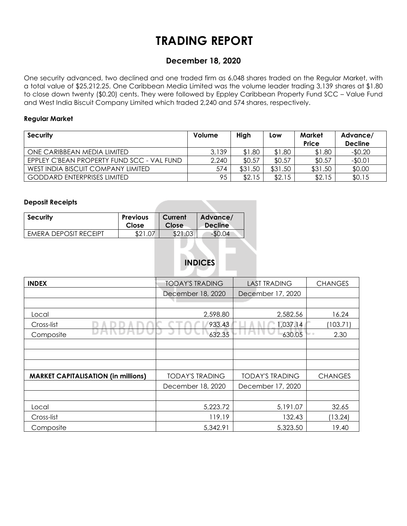## **TRADING REPORT**

## **December 18, 2020**

One security advanced, two declined and one traded firm as 6,048 shares traded on the Regular Market, with a total value of \$25,212.25. One Caribbean Media Limited was the volume leader trading 3,139 shares at \$1.80 to close down twenty (\$0.20) cents. They were followed by Eppley Caribbean Property Fund SCC – Value Fund and West India Biscuit Company Limited which traded 2,240 and 574 shares, respectively.

#### **Regular Market**

| <b>Security</b>                            | Volume | High    | Low     | Market<br>Price | Advance/<br><b>Decline</b> |
|--------------------------------------------|--------|---------|---------|-----------------|----------------------------|
| ONE CARIBBEAN MEDIA LIMITED                | 3,139  | \$1.80  | \$1.80  | \$1.80          | $-$0.20$                   |
| EPPLEY C'BEAN PROPERTY FUND SCC - VAL FUND | 2,240  | \$0.57  | \$0.57  | \$0.57          | $-$0.01$                   |
| WEST INDIA BISCUIT COMPANY LIMITED         | 574    | \$31.50 | \$31.50 | \$31.50         | \$0.00                     |
| <b>GODDARD ENTERPRISES LIMITED</b>         | 95     | \$2.15  | \$2.15  | \$2.15          | \$0.15                     |

#### **Deposit Receipts**

| <b>Security</b>       | <b>Previous</b> | Current | Advance/       |
|-----------------------|-----------------|---------|----------------|
|                       | Close           | Close   | <b>Decline</b> |
| EMERA DEPOSIT RECEIPT | ሮ ገ 1           | \$21.03 | $-50.04$       |

## **INDICES**

| <b>INDEX</b>                               | <b>TODAY'S TRADING</b> | <b>LAST TRADING</b>    | <b>CHANGES</b> |
|--------------------------------------------|------------------------|------------------------|----------------|
|                                            | December 18, 2020      | December 17, 2020      |                |
|                                            |                        |                        |                |
| Local                                      | 2,598.80               | 2,582.56               | 16.24          |
| Cross-list                                 | 933.43                 | 1,037.14               | (103.71)       |
| Composite                                  | 632.35                 | 630.05                 | 2.30<br>w o    |
|                                            |                        |                        |                |
|                                            |                        |                        |                |
|                                            |                        |                        |                |
| <b>MARKET CAPITALISATION (in millions)</b> | <b>TODAY'S TRADING</b> | <b>TODAY'S TRADING</b> | <b>CHANGES</b> |
|                                            | December 18, 2020      | December 17, 2020      |                |
|                                            |                        |                        |                |
| Local                                      | 5,223.72               | 5,191.07               | 32.65          |
| Cross-list                                 | 119.19                 | 132.43                 | (13.24)        |
| Composite                                  | 5,342.91               | 5,323.50               | 19.40          |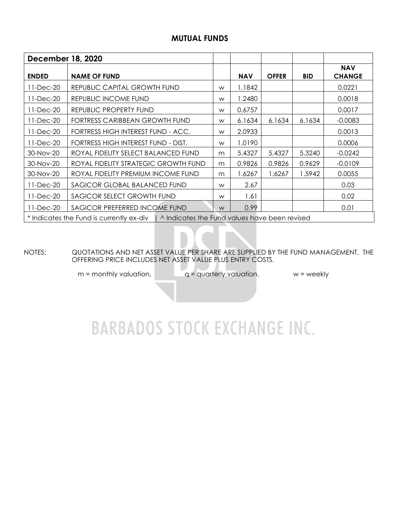### **MUTUAL FUNDS**

| <b>December 18, 2020</b>                   |                                                                                          |   |            |              |            |                             |
|--------------------------------------------|------------------------------------------------------------------------------------------|---|------------|--------------|------------|-----------------------------|
| <b>ENDED</b>                               | <b>NAME OF FUND</b>                                                                      |   | <b>NAV</b> | <b>OFFER</b> | <b>BID</b> | <b>NAV</b><br><b>CHANGE</b> |
| 11-Dec-20                                  | REPUBLIC CAPITAL GROWTH FUND                                                             | W | 1.1842     |              |            | 0.0221                      |
| 11-Dec-20                                  | REPUBLIC INCOME FUND                                                                     | W | 1.2480     |              |            | 0.0018                      |
| 11-Dec-20                                  | REPUBLIC PROPERTY FUND                                                                   | W | 0.6757     |              |            | 0.0017                      |
| 11-Dec-20                                  | FORTRESS CARIBBEAN GROWTH FUND                                                           | W | 6.1634     | 6.1634       | 6.1634     | $-0.0083$                   |
| 11-Dec-20                                  | FORTRESS HIGH INTEREST FUND - ACC.                                                       | W | 2.0933     |              |            | 0.0013                      |
| 11-Dec-20                                  | FORTRESS HIGH INTEREST FUND - DIST.                                                      | W | 1.0190     |              |            | 0.0006                      |
| 30-Nov-20                                  | ROYAL FIDELITY SELECT BALANCED FUND                                                      | m | 5.4327     | 5.4327       | 5.3240     | $-0.0242$                   |
| 30-Nov-20                                  | ROYAL FIDELITY STRATEGIC GROWTH FUND                                                     | m | 0.9826     | 0.9826       | 0.9629     | $-0.0109$                   |
| 30-Nov-20                                  | ROYAL FIDELITY PREMIUM INCOME FUND                                                       | m | 1.6267     | 1.6267       | 1.5942     | 0.0055                      |
| 11-Dec-20                                  | SAGICOR GLOBAL BALANCED FUND                                                             | W | 2.67       |              |            | 0.03                        |
| 11-Dec-20                                  | SAGICOR SELECT GROWTH FUND                                                               |   | 1.61       |              |            | 0.02                        |
| SAGICOR PREFERRED INCOME FUND<br>11-Dec-20 |                                                                                          | W | 0.99       |              |            | 0.01                        |
|                                            | * Indicates the Fund is currently ex-div   ^ Indicates the Fund values have been revised |   |            |              |            |                             |

NOTES: QUOTATIONS AND NET ASSET VALUE PER SHARE ARE SUPPLIED BY THE FUND MANAGEMENT. THE OFFERING PRICE INCLUDES NET ASSET VALUE PLUS ENTRY COSTS.

 $m =$  monthly valuation,  $q =$  quarterly valuation,  $w =$  weekly

# **BARBADOS STOCK EXCHANGE INC.**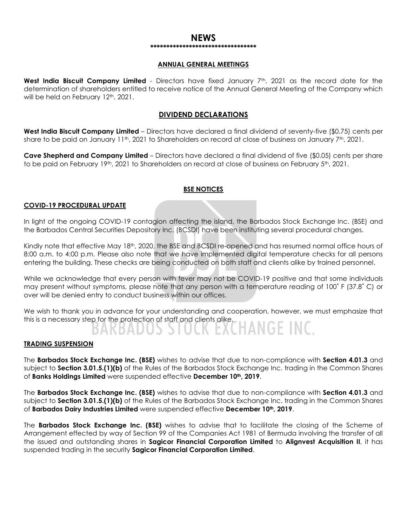#### **NEWS \*\*\*\*\*\*\*\*\*\*\*\*\*\*\*\*\*\*\*\*\*\*\*\*\*\*\*\*\*\*\*\*\***

#### **ANNUAL GENERAL MEETINGS**

West India Biscuit Company Limited - Directors have fixed January 7<sup>th</sup>, 2021 as the record date for the determination of shareholders entitled to receive notice of the Annual General Meeting of the Company which will be held on February 12<sup>th</sup>, 2021.

#### **DIVIDEND DECLARATIONS**

**West India Biscuit Company Limited** – Directors have declared a final dividend of seventy-five (\$0.75) cents per share to be paid on January 11<sup>th</sup>, 2021 to Shareholders on record at close of business on January 7<sup>th</sup>, 2021.

**Cave Shepherd and Company Limited** – Directors have declared a final dividend of five (\$0.05) cents per share to be paid on February 19th, 2021 to Shareholders on record at close of business on February 5th, 2021.

#### **BSE NOTICES**

#### **COVID-19 PROCEDURAL UPDATE**

In light of the ongoing COVID-19 contagion affecting the island, the Barbados Stock Exchange Inc. (BSE) and the Barbados Central Securities Depository Inc. (BCSDI) have been instituting several procedural changes.

Kindly note that effective May 18<sup>th</sup>, 2020, the BSE and BCSDI re-opened and has resumed normal office hours of 8:00 a.m. to 4:00 p.m. Please also note that we have implemented digital temperature checks for all persons entering the building. These checks are being conducted on both staff and clients alike by trained personnel.

While we acknowledge that every person with fever may not be COVID-19 positive and that some individuals may present without symptoms, please note that any person with a temperature reading of 100˚ F (37.8˚ C) or over will be denied entry to conduct business within our offices.

We wish to thank you in advance for your understanding and cooperation, however, we must emphasize that this is a necessary step for the protection of staff and clients alike.

#### **TRADING SUSPENSION**

The **Barbados Stock Exchange Inc. (BSE)** wishes to advise that due to non-compliance with **Section 4.01.3** and subject to **Section 3.01.5.(1)(b)** of the Rules of the Barbados Stock Exchange Inc. trading in the Common Shares of **Banks Holdings Limited** were suspended effective **December 10th, 2019**.

The **Barbados Stock Exchange Inc. (BSE)** wishes to advise that due to non-compliance with **Section 4.01.3** and subject to **Section 3.01.5.(1)(b)** of the Rules of the Barbados Stock Exchange Inc. trading in the Common Shares of **Barbados Dairy Industries Limited** were suspended effective **December 10th, 2019**.

The **Barbados Stock Exchange Inc. (BSE)** wishes to advise that to facilitate the closing of the Scheme of Arrangement effected by way of Section 99 of the Companies Act 1981 of Bermuda involving the transfer of all the issued and outstanding shares in **Sagicor Financial Corporation Limited** to **Alignvest Acquisition II**, it has suspended trading in the security **Sagicor Financial Corporation Limited**.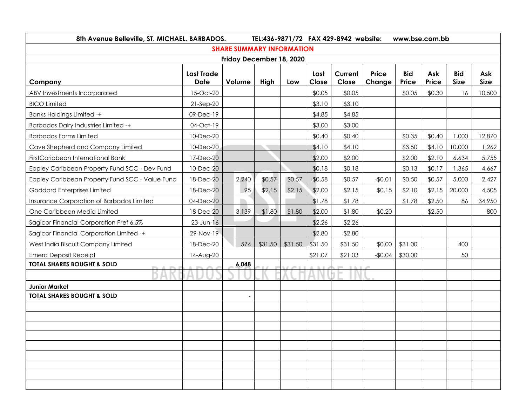| 8th Avenue Belleville, ST. MICHAEL. BARBADOS.<br>TEL:436-9871/72 FAX 429-8942 website: |                                  |        |         |         |               |                  |                        | www.bse.com.bb      |              |                           |                    |
|----------------------------------------------------------------------------------------|----------------------------------|--------|---------|---------|---------------|------------------|------------------------|---------------------|--------------|---------------------------|--------------------|
| <b>SHARE SUMMARY INFORMATION</b>                                                       |                                  |        |         |         |               |                  |                        |                     |              |                           |                    |
| Friday December 18, 2020                                                               |                                  |        |         |         |               |                  |                        |                     |              |                           |                    |
| Company                                                                                | <b>Last Trade</b><br><b>Date</b> | Volume | High    | Low     | Last<br>Close | Current<br>Close | <b>Price</b><br>Change | <b>Bid</b><br>Price | Ask<br>Price | <b>Bid</b><br><b>Size</b> | Ask<br><b>Size</b> |
| ABV Investments Incorporated                                                           | 15-Oct-20                        |        |         |         | \$0.05        | \$0.05           |                        | \$0.05              | \$0.30       | 16                        | 10,500             |
| <b>BICO Limited</b>                                                                    | $21-Sep-20$                      |        |         |         | \$3.10        | \$3.10           |                        |                     |              |                           |                    |
| <b>Banks Holdings Limited -+</b>                                                       | 09-Dec-19                        |        |         |         | \$4.85        | \$4.85           |                        |                     |              |                           |                    |
| <b>Barbados Dairy Industries Limited -+</b>                                            | 04-Oct-19                        |        |         |         | \$3.00        | \$3.00           |                        |                     |              |                           |                    |
| <b>Barbados Farms Limited</b>                                                          | 10-Dec-20                        |        |         |         | \$0.40        | \$0.40           |                        | \$0.35              | \$0.40       | 1,000                     | 12,870             |
| Cave Shepherd and Company Limited                                                      | 10-Dec-20                        |        |         |         | \$4.10        | \$4.10           |                        | \$3.50              | \$4.10       | 10,000                    | 1,262              |
| FirstCaribbean International Bank                                                      | 17-Dec-20                        |        |         |         | \$2.00        | \$2.00           |                        | \$2.00              | \$2.10       | 6,634                     | 5,755              |
| Eppley Caribbean Property Fund SCC - Dev Fund                                          | 10-Dec-20                        |        |         |         | \$0.18        | \$0.18           |                        | \$0.13              | \$0.17       | 1,365                     | 4,667              |
| Eppley Caribbean Property Fund SCC - Value Fund                                        | 18-Dec-20                        | 2,240  | \$0.57  | \$0.57  | \$0.58        | \$0.57           | $-$0.01$               | \$0.50              | \$0.57       | 5,000                     | 2,427              |
| <b>Goddard Enterprises Limited</b>                                                     | 18-Dec-20                        | 95     | \$2.15  | \$2.15  | \$2.00        | \$2.15           | \$0.15                 | \$2.10              | \$2.15       | 20,000                    | 4,505              |
| Insurance Corporation of Barbados Limited                                              | 04-Dec-20                        |        |         |         | \$1.78        | \$1.78           |                        | \$1.78              | \$2.50       | 86                        | 34,950             |
| One Caribbean Media Limited                                                            | 18-Dec-20                        | 3,139  | \$1.80  | \$1.80  | \$2.00        | \$1.80           | $-$0.20$               |                     | \$2.50       |                           | 800                |
| Sagicor Financial Corporation Pref 6.5%                                                | 23-Jun-16                        |        |         |         | \$2.26        | \$2.26           |                        |                     |              |                           |                    |
| Sagicor Financial Corporation Limited -+                                               | 29-Nov-19                        |        |         |         | \$2.80        | \$2.80           |                        |                     |              |                           |                    |
| West India Biscuit Company Limited                                                     | 18-Dec-20                        | 574    | \$31.50 | \$31.50 | \$31.50       | \$31.50          | \$0.00                 | \$31.00             |              | 400                       |                    |
| <b>Emera Deposit Receipt</b>                                                           | 14-Aug-20                        |        |         |         | \$21.07       | \$21.03          | $-$0.04$               | \$30.00             |              | 50                        |                    |
| <b>TOTAL SHARES BOUGHT &amp; SOLD</b>                                                  |                                  | 6,048  |         |         |               |                  |                        |                     |              |                           |                    |
|                                                                                        |                                  |        |         |         |               |                  |                        |                     |              |                           |                    |
| <b>Junior Market</b>                                                                   |                                  |        |         |         |               |                  |                        |                     |              |                           |                    |
| <b>TOTAL SHARES BOUGHT &amp; SOLD</b>                                                  |                                  |        |         |         |               |                  |                        |                     |              |                           |                    |
|                                                                                        |                                  |        |         |         |               |                  |                        |                     |              |                           |                    |
|                                                                                        |                                  |        |         |         |               |                  |                        |                     |              |                           |                    |
|                                                                                        |                                  |        |         |         |               |                  |                        |                     |              |                           |                    |
|                                                                                        |                                  |        |         |         |               |                  |                        |                     |              |                           |                    |
|                                                                                        |                                  |        |         |         |               |                  |                        |                     |              |                           |                    |
|                                                                                        |                                  |        |         |         |               |                  |                        |                     |              |                           |                    |
|                                                                                        |                                  |        |         |         |               |                  |                        |                     |              |                           |                    |
|                                                                                        |                                  |        |         |         |               |                  |                        |                     |              |                           |                    |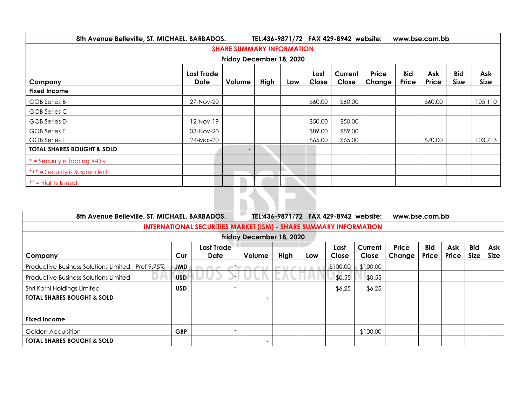| 8th Avenue Belleville, ST. MICHAEL. BARBADOS.<br>TEL:436-9871/72 FAX 429-8942 website:<br>www.bse.com.bb |                           |                |      |     |               |                  |                 |                     |              |                           |                    |
|----------------------------------------------------------------------------------------------------------|---------------------------|----------------|------|-----|---------------|------------------|-----------------|---------------------|--------------|---------------------------|--------------------|
| <b>SHARE SUMMARY INFORMATION</b>                                                                         |                           |                |      |     |               |                  |                 |                     |              |                           |                    |
| Friday December 18, 2020                                                                                 |                           |                |      |     |               |                  |                 |                     |              |                           |                    |
| Company                                                                                                  | <b>Last Trade</b><br>Date | Volume         | High | Low | Last<br>Close | Current<br>Close | Price<br>Change | <b>Bid</b><br>Price | Ask<br>Price | <b>Bid</b><br><b>Size</b> | Ask<br><b>Size</b> |
| <b>Fixed Income</b>                                                                                      |                           |                |      |     |               |                  |                 |                     |              |                           |                    |
| <b>GOB</b> Series B                                                                                      | 27-Nov-20                 |                |      |     | \$60.00       | \$60.00          |                 |                     | \$60.00      |                           | 105,110            |
| GOB Series C                                                                                             |                           |                |      |     |               |                  |                 |                     |              |                           |                    |
| <b>GOB</b> Series D                                                                                      | 12-Nov-19                 |                |      |     | \$50.00       | \$50.00          |                 |                     |              |                           |                    |
| <b>GOB</b> Series F                                                                                      | 03-Nov-20                 |                |      |     | \$89.00       | \$89.00          |                 |                     |              |                           |                    |
| <b>GOB</b> Series I                                                                                      | 24-Mar-20                 |                |      |     | \$65.00       | \$65.00          |                 |                     | \$70.00      |                           | 103,713            |
| <b>TOTAL SHARES BOUGHT &amp; SOLD</b>                                                                    |                           | $\blacksquare$ |      |     |               |                  |                 |                     |              |                           |                    |
| $*$ = Security is Trading X-Div                                                                          |                           |                |      |     |               |                  |                 |                     |              |                           |                    |
| $*+* =$ Security is Suspended                                                                            |                           |                |      |     |               |                  |                 |                     |              |                           |                    |
| $**$ = Rights Issued                                                                                     |                           |                |      |     |               |                  |                 |                     |              |                           |                    |
| w                                                                                                        |                           |                |      |     |               |                  |                 |                     |              |                           |                    |

| 8th Avenue Belleville, ST. MICHAEL. BARBADOS.                            |            |                           |                |      |     | TEL:436-9871/72 FAX 429-8942 website: | www.bse.com.bb   |                 |                     |              |                           |                    |
|--------------------------------------------------------------------------|------------|---------------------------|----------------|------|-----|---------------------------------------|------------------|-----------------|---------------------|--------------|---------------------------|--------------------|
| <b>INTERNATIONAL SECURITIES MARKET (ISM) - SHARE SUMMARY INFORMATION</b> |            |                           |                |      |     |                                       |                  |                 |                     |              |                           |                    |
| Friday December 18, 2020                                                 |            |                           |                |      |     |                                       |                  |                 |                     |              |                           |                    |
| Company                                                                  | Cur        | <b>Last Trade</b><br>Date | Volume         | High | Low | Last<br>Close                         | Current<br>Close | Price<br>Change | <b>Bid</b><br>Price | Ask<br>Price | <b>Bid</b><br><b>Size</b> | Ask<br><b>Size</b> |
| Productive Business Solutions Limited - Pref 9.75%                       | JMD        |                           |                |      |     | \$100.00                              | \$100.00         |                 |                     |              |                           |                    |
| <b>Productive Business Solutions Limited</b>                             | <b>USD</b> |                           |                |      |     | \$0.55                                | \$0.55           |                 |                     |              |                           |                    |
| Shri Karni Holdings Limited                                              | <b>USD</b> |                           |                |      |     | \$6.25                                | \$6.25           |                 |                     |              |                           |                    |
| <b>TOTAL SHARES BOUGHT &amp; SOLD</b>                                    |            |                           | $\blacksquare$ |      |     |                                       |                  |                 |                     |              |                           |                    |
|                                                                          |            |                           |                |      |     |                                       |                  |                 |                     |              |                           |                    |
| <b>Fixed Income</b>                                                      |            |                           |                |      |     |                                       |                  |                 |                     |              |                           |                    |
| Golden Acquisition                                                       | <b>GBP</b> |                           |                |      |     |                                       | \$100.00         |                 |                     |              |                           |                    |
| <b>TOTAL SHARES BOUGHT &amp; SOLD</b>                                    |            |                           | $\sim$         |      |     |                                       |                  |                 |                     |              |                           |                    |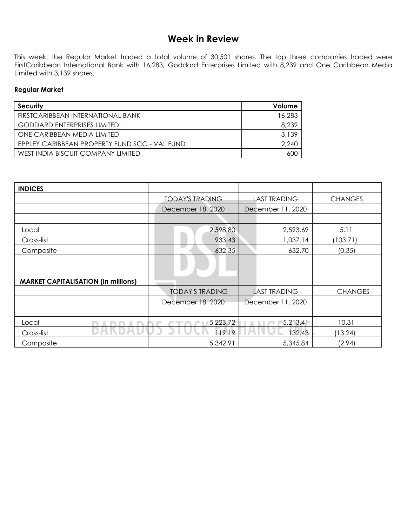## **Week in Review**

This week, the Regular Market traded a total volume of 30,501 shares. The top three companies traded were FirstCaribbean International Bank with 16,283, Goddard Enterprises Limited with 8,239 and One Caribbean Media Limited with 3,139 shares.

#### **Regular Market**

| Security                                      | Volume |
|-----------------------------------------------|--------|
| FIRSTCARIBBEAN INTERNATIONAL BANK             | 16,283 |
| <b>GODDARD ENTERPRISES LIMITED</b>            | 8,239  |
| ONE CARIBBEAN MEDIA LIMITED                   | 3,139  |
| EPPLEY CARIBBEAN PROPERTY FUND SCC - VAL FUND | 2,240  |
| WEST INDIA BISCUIT COMPANY LIMITED            | 60C    |

| <b>INDICES</b>                             |                        |                     |                |
|--------------------------------------------|------------------------|---------------------|----------------|
|                                            | <b>TODAY'S TRADING</b> | <b>LAST TRADING</b> | <b>CHANGES</b> |
|                                            | December 18, 2020      | December 11, 2020   |                |
|                                            |                        |                     |                |
| Local                                      | 2,598.80               | 2,593.69            | 5.11           |
| Cross-list                                 | 933.43                 | 1,037.14            | (103.71)       |
| Composite                                  | 632.35                 | 632.70              | (0.35)         |
|                                            |                        |                     |                |
|                                            |                        |                     |                |
| <b>MARKET CAPITALISATION (in millions)</b> |                        |                     |                |
|                                            | <b>TODAY'S TRADING</b> | <b>LAST TRADING</b> | <b>CHANGES</b> |
|                                            | December 18, 2020      | December 11, 2020   |                |
|                                            |                        |                     |                |
| Local                                      | 5,223.72               | 5,213.41            | 10.31          |
| Cross-list                                 | 119.19                 | 132.43              | (13.24)        |
| Composite                                  | 5,342.91               | 5,345.84            | (2.94)         |